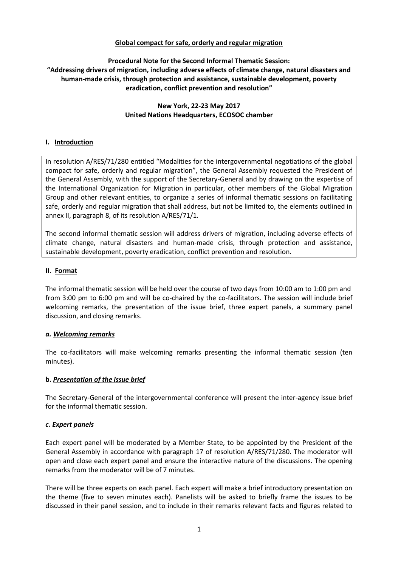## **Global compact for safe, orderly and regular migration**

**Procedural Note for the Second Informal Thematic Session: "Addressing drivers of migration, including adverse effects of climate change, natural disasters and human-made crisis, through protection and assistance, sustainable development, poverty eradication, conflict prevention and resolution"**

## **New York, 22-23 May 2017 United Nations Headquarters, ECOSOC chamber**

## **I. Introduction**

In resolution A/RES/71/280 entitled "Modalities for the intergovernmental negotiations of the global compact for safe, orderly and regular migration", the General Assembly requested the President of the General Assembly, with the support of the Secretary-General and by drawing on the expertise of the International Organization for Migration in particular, other members of the Global Migration Group and other relevant entities, to organize a series of informal thematic sessions on facilitating safe, orderly and regular migration that shall address, but not be limited to, the elements outlined in annex II, paragraph 8, of its resolution A/RES/71/1.

The second informal thematic session will address drivers of migration, including adverse effects of climate change, natural disasters and human-made crisis, through protection and assistance, sustainable development, poverty eradication, conflict prevention and resolution.

#### **II. Format**

The informal thematic session will be held over the course of two days from 10:00 am to 1:00 pm and from 3:00 pm to 6:00 pm and will be co-chaired by the co-facilitators. The session will include brief welcoming remarks, the presentation of the issue brief, three expert panels, a summary panel discussion, and closing remarks.

#### *a. Welcoming remarks*

The co-facilitators will make welcoming remarks presenting the informal thematic session (ten minutes).

#### **b.** *Presentation of the issue brief*

The Secretary-General of the intergovernmental conference will present the inter-agency issue brief for the informal thematic session.

#### *c. Expert panels*

Each expert panel will be moderated by a Member State, to be appointed by the President of the General Assembly in accordance with paragraph 17 of resolution A/RES/71/280. The moderator will open and close each expert panel and ensure the interactive nature of the discussions. The opening remarks from the moderator will be of 7 minutes.

There will be three experts on each panel. Each expert will make a brief introductory presentation on the theme (five to seven minutes each). Panelists will be asked to briefly frame the issues to be discussed in their panel session, and to include in their remarks relevant facts and figures related to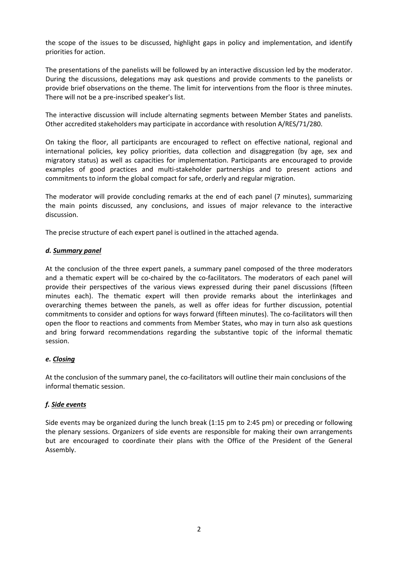the scope of the issues to be discussed, highlight gaps in policy and implementation, and identify priorities for action.

The presentations of the panelists will be followed by an interactive discussion led by the moderator. During the discussions, delegations may ask questions and provide comments to the panelists or provide brief observations on the theme. The limit for interventions from the floor is three minutes. There will not be a pre-inscribed speaker's list.

The interactive discussion will include alternating segments between Member States and panelists. Other accredited stakeholders may participate in accordance with resolution A/RES/71/280.

On taking the floor, all participants are encouraged to reflect on effective national, regional and international policies, key policy priorities, data collection and disaggregation (by age, sex and migratory status) as well as capacities for implementation. Participants are encouraged to provide examples of good practices and multi-stakeholder partnerships and to present actions and commitments to inform the global compact for safe, orderly and regular migration.

The moderator will provide concluding remarks at the end of each panel (7 minutes), summarizing the main points discussed, any conclusions, and issues of major relevance to the interactive discussion.

The precise structure of each expert panel is outlined in the attached agenda.

## *d. Summary panel*

At the conclusion of the three expert panels, a summary panel composed of the three moderators and a thematic expert will be co-chaired by the co-facilitators. The moderators of each panel will provide their perspectives of the various views expressed during their panel discussions (fifteen minutes each). The thematic expert will then provide remarks about the interlinkages and overarching themes between the panels, as well as offer ideas for further discussion, potential commitments to consider and options for ways forward (fifteen minutes). The co-facilitators will then open the floor to reactions and comments from Member States, who may in turn also ask questions and bring forward recommendations regarding the substantive topic of the informal thematic session.

# *e. Closing*

At the conclusion of the summary panel, the co-facilitators will outline their main conclusions of the informal thematic session.

# *f. Side events*

Side events may be organized during the lunch break (1:15 pm to 2:45 pm) or preceding or following the plenary sessions. Organizers of side events are responsible for making their own arrangements but are encouraged to coordinate their plans with the Office of the President of the General Assembly.